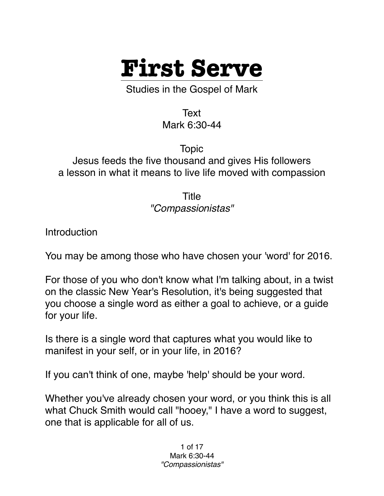

Studies in the Gospel of Mark

Text Mark 6:30-44

Topic Jesus feeds the five thousand and gives His followers a lesson in what it means to live life moved with compassion

> Title *"Compassionistas"*

**Introduction** 

You may be among those who have chosen your 'word' for 2016.

For those of you who don't know what I'm talking about, in a twist on the classic New Year's Resolution, it's being suggested that you choose a single word as either a goal to achieve, or a guide for your life.

Is there is a single word that captures what you would like to manifest in your self, or in your life, in 2016?

If you can't think of one, maybe 'help' should be your word.

Whether you've already chosen your word, or you think this is all what Chuck Smith would call "hooey," I have a word to suggest, one that is applicable for all of us.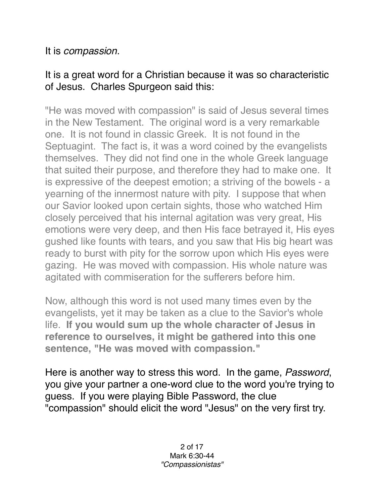## It is *compassion*.

## It is a great word for a Christian because it was so characteristic of Jesus. Charles Spurgeon said this:

"He was moved with compassion" is said of Jesus several times in the New Testament. The original word is a very remarkable one. It is not found in classic Greek. It is not found in the Septuagint. The fact is, it was a word coined by the evangelists themselves. They did not find one in the whole Greek language that suited their purpose, and therefore they had to make one. It is expressive of the deepest emotion; a striving of the bowels - a yearning of the innermost nature with pity. I suppose that when our Savior looked upon certain sights, those who watched Him closely perceived that his internal agitation was very great, His emotions were very deep, and then His face betrayed it, His eyes gushed like founts with tears, and you saw that His big heart was ready to burst with pity for the sorrow upon which His eyes were gazing. He was moved with compassion. His whole nature was agitated with commiseration for the sufferers before him.

Now, although this word is not used many times even by the evangelists, yet it may be taken as a clue to the Savior's whole life. **If you would sum up the whole character of Jesus in reference to ourselves, it might be gathered into this one sentence, "He was moved with compassion."** 

Here is another way to stress this word. In the game, *Password*, you give your partner a one-word clue to the word you're trying to guess. If you were playing Bible Password, the clue "compassion" should elicit the word "Jesus" on the very first try.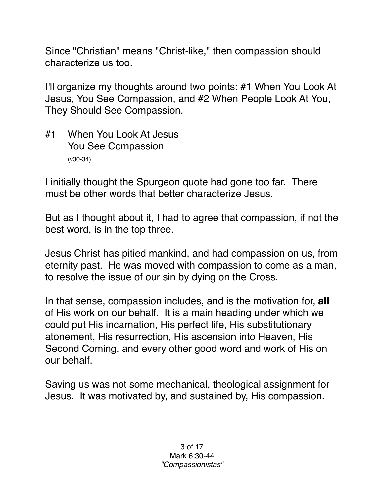Since "Christian" means "Christ-like," then compassion should characterize us too.

I'll organize my thoughts around two points: #1 When You Look At Jesus, You See Compassion, and #2 When People Look At You, They Should See Compassion.

#1 When You Look At Jesus You See Compassion (v30-34)

I initially thought the Spurgeon quote had gone too far. There must be other words that better characterize Jesus.

But as I thought about it, I had to agree that compassion, if not the best word, is in the top three.

Jesus Christ has pitied mankind, and had compassion on us, from eternity past. He was moved with compassion to come as a man, to resolve the issue of our sin by dying on the Cross.

In that sense, compassion includes, and is the motivation for, **all** of His work on our behalf. It is a main heading under which we could put His incarnation, His perfect life, His substitutionary atonement, His resurrection, His ascension into Heaven, His Second Coming, and every other good word and work of His on our behalf.

Saving us was not some mechanical, theological assignment for Jesus. It was motivated by, and sustained by, His compassion.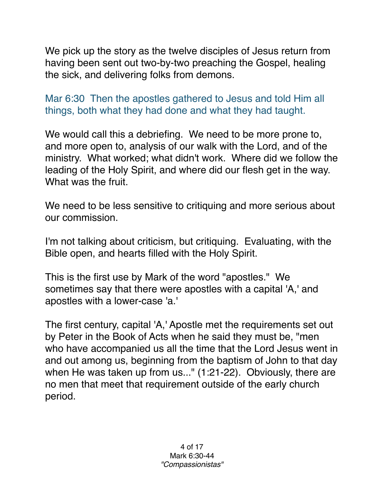We pick up the story as the twelve disciples of Jesus return from having been sent out two-by-two preaching the Gospel, healing the sick, and delivering folks from demons.

Mar 6:30 Then the apostles gathered to Jesus and told Him all things, both what they had done and what they had taught.

We would call this a debriefing. We need to be more prone to, and more open to, analysis of our walk with the Lord, and of the ministry. What worked; what didn't work. Where did we follow the leading of the Holy Spirit, and where did our flesh get in the way. What was the fruit.

We need to be less sensitive to critiquing and more serious about our commission.

I'm not talking about criticism, but critiquing. Evaluating, with the Bible open, and hearts filled with the Holy Spirit.

This is the first use by Mark of the word "apostles." We sometimes say that there were apostles with a capital 'A,' and apostles with a lower-case 'a.'

The first century, capital 'A,' Apostle met the requirements set out by Peter in the Book of Acts when he said they must be, "men who have accompanied us all the time that the Lord Jesus went in and out among us, beginning from the baptism of John to that day when He was taken up from us..." (1:21-22). Obviously, there are no men that meet that requirement outside of the early church period.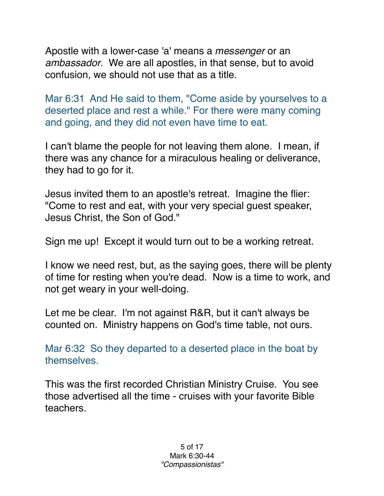Apostle with a lower-case 'a' means a *messenger* or an *ambassador*. We are all apostles, in that sense, but to avoid confusion, we should not use that as a title.

Mar 6:31 And He said to them, "Come aside by yourselves to a deserted place and rest a while." For there were many coming and going, and they did not even have time to eat.

I can't blame the people for not leaving them alone. I mean, if there was any chance for a miraculous healing or deliverance, they had to go for it.

Jesus invited them to an apostle's retreat. Imagine the flier: "Come to rest and eat, with your very special guest speaker, Jesus Christ, the Son of God."

Sign me up! Except it would turn out to be a working retreat.

I know we need rest, but, as the saying goes, there will be plenty of time for resting when you're dead. Now is a time to work, and not get weary in your well-doing.

Let me be clear. I'm not against R&R, but it can't always be counted on. Ministry happens on God's time table, not ours.

Mar 6:32 So they departed to a deserted place in the boat by themselves.

This was the first recorded Christian Ministry Cruise. You see those advertised all the time - cruises with your favorite Bible teachers.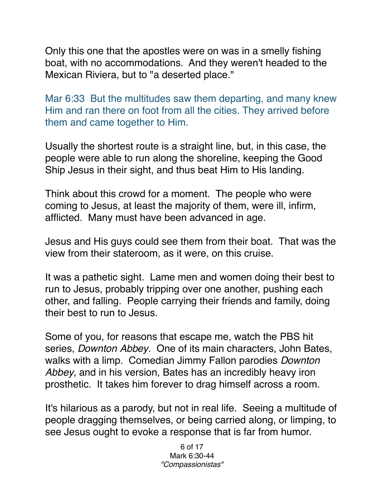Only this one that the apostles were on was in a smelly fishing boat, with no accommodations. And they weren't headed to the Mexican Riviera, but to "a deserted place."

Mar 6:33 But the multitudes saw them departing, and many knew Him and ran there on foot from all the cities. They arrived before them and came together to Him.

Usually the shortest route is a straight line, but, in this case, the people were able to run along the shoreline, keeping the Good Ship Jesus in their sight, and thus beat Him to His landing.

Think about this crowd for a moment. The people who were coming to Jesus, at least the majority of them, were ill, infirm, afflicted. Many must have been advanced in age.

Jesus and His guys could see them from their boat. That was the view from their stateroom, as it were, on this cruise.

It was a pathetic sight. Lame men and women doing their best to run to Jesus, probably tripping over one another, pushing each other, and falling. People carrying their friends and family, doing their best to run to Jesus.

Some of you, for reasons that escape me, watch the PBS hit series, *Downton Abbey*. One of its main characters, John Bates, walks with a limp. Comedian Jimmy Fallon parodies *Downton Abbey*, and in his version, Bates has an incredibly heavy iron prosthetic. It takes him forever to drag himself across a room.

It's hilarious as a parody, but not in real life. Seeing a multitude of people dragging themselves, or being carried along, or limping, to see Jesus ought to evoke a response that is far from humor.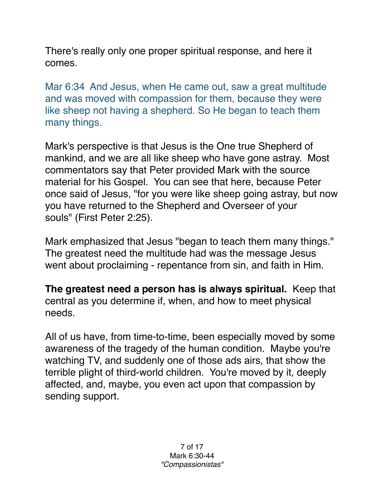There's really only one proper spiritual response, and here it comes.

Mar 6:34 And Jesus, when He came out, saw a great multitude and was moved with compassion for them, because they were like sheep not having a shepherd. So He began to teach them many things.

Mark's perspective is that Jesus is the One true Shepherd of mankind, and we are all like sheep who have gone astray. Most commentators say that Peter provided Mark with the source material for his Gospel. You can see that here, because Peter once said of Jesus, "for you were like sheep going astray, but now you have returned to the Shepherd and Overseer of your souls" (First Peter 2:25).

Mark emphasized that Jesus "began to teach them many things." The greatest need the multitude had was the message Jesus went about proclaiming - repentance from sin, and faith in Him.

**The greatest need a person has is always spiritual.** Keep that central as you determine if, when, and how to meet physical needs.

All of us have, from time-to-time, been especially moved by some awareness of the tragedy of the human condition. Maybe you're watching TV, and suddenly one of those ads airs, that show the terrible plight of third-world children. You're moved by it, deeply affected, and, maybe, you even act upon that compassion by sending support.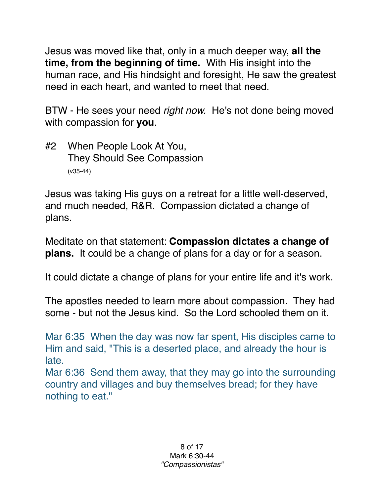Jesus was moved like that, only in a much deeper way, **all the time, from the beginning of time.** With His insight into the human race, and His hindsight and foresight, He saw the greatest need in each heart, and wanted to meet that need.

BTW - He sees your need *right now.* He's not done being moved with compassion for **you**.

#2 When People Look At You, They Should See Compassion (v35-44)

Jesus was taking His guys on a retreat for a little well-deserved, and much needed, R&R. Compassion dictated a change of plans.

Meditate on that statement: **Compassion dictates a change of plans.** It could be a change of plans for a day or for a season.

It could dictate a change of plans for your entire life and it's work.

The apostles needed to learn more about compassion. They had some - but not the Jesus kind. So the Lord schooled them on it.

Mar 6:35 When the day was now far spent, His disciples came to Him and said, "This is a deserted place, and already the hour is late.

Mar 6:36 Send them away, that they may go into the surrounding country and villages and buy themselves bread; for they have nothing to eat."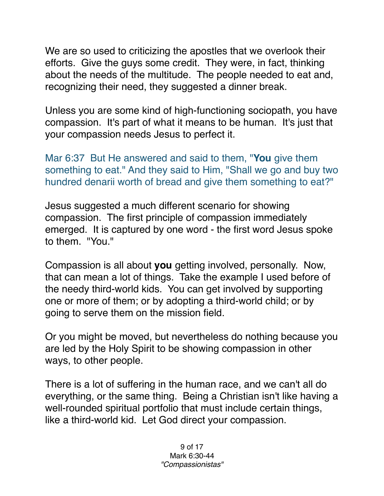We are so used to criticizing the apostles that we overlook their efforts. Give the guys some credit. They were, in fact, thinking about the needs of the multitude. The people needed to eat and, recognizing their need, they suggested a dinner break.

Unless you are some kind of high-functioning sociopath, you have compassion. It's part of what it means to be human. It's just that your compassion needs Jesus to perfect it.

Mar 6:37 But He answered and said to them, "**You** give them something to eat." And they said to Him, "Shall we go and buy two hundred denarii worth of bread and give them something to eat?"

Jesus suggested a much different scenario for showing compassion. The first principle of compassion immediately emerged. It is captured by one word - the first word Jesus spoke to them. "You."

Compassion is all about **you** getting involved, personally. Now, that can mean a lot of things. Take the example I used before of the needy third-world kids. You can get involved by supporting one or more of them; or by adopting a third-world child; or by going to serve them on the mission field.

Or you might be moved, but nevertheless do nothing because you are led by the Holy Spirit to be showing compassion in other ways, to other people.

There is a lot of suffering in the human race, and we can't all do everything, or the same thing. Being a Christian isn't like having a well-rounded spiritual portfolio that must include certain things, like a third-world kid. Let God direct your compassion.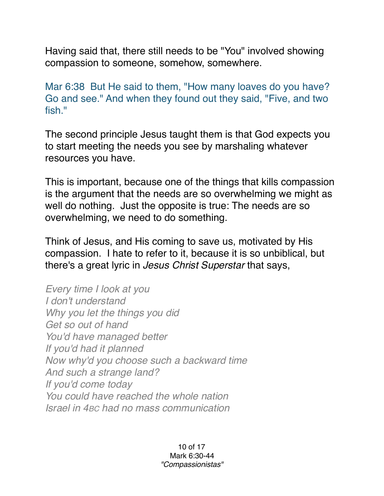Having said that, there still needs to be "You" involved showing compassion to someone, somehow, somewhere.

Mar 6:38 But He said to them, "How many loaves do you have? Go and see." And when they found out they said, "Five, and two fish."

The second principle Jesus taught them is that God expects you to start meeting the needs you see by marshaling whatever resources you have.

This is important, because one of the things that kills compassion is the argument that the needs are so overwhelming we might as well do nothing. Just the opposite is true: The needs are so overwhelming, we need to do something.

Think of Jesus, and His coming to save us, motivated by His compassion. I hate to refer to it, because it is so unbiblical, but there's a great lyric in *Jesus Christ Superstar* that says,

*Every time I look at you I don't understand Why you let the things you did Get so out of hand You'd have managed better If you'd had it planned Now why'd you choose such a backward time And such a strange land? If you'd come today You could have reached the whole nation Israel in 4BC had no mass communication*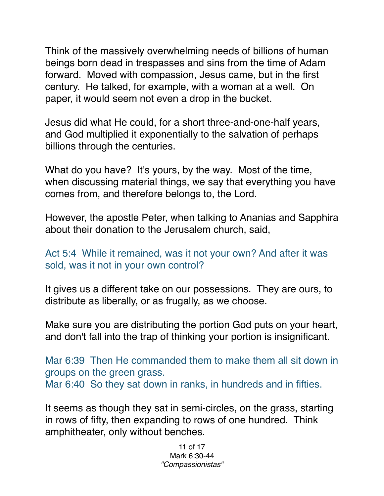Think of the massively overwhelming needs of billions of human beings born dead in trespasses and sins from the time of Adam forward. Moved with compassion, Jesus came, but in the first century. He talked, for example, with a woman at a well. On paper, it would seem not even a drop in the bucket.

Jesus did what He could, for a short three-and-one-half years, and God multiplied it exponentially to the salvation of perhaps billions through the centuries.

What do you have? It's yours, by the way. Most of the time, when discussing material things, we say that everything you have comes from, and therefore belongs to, the Lord.

However, the apostle Peter, when talking to Ananias and Sapphira about their donation to the Jerusalem church, said,

Act 5:4 While it remained, was it not your own? And after it was sold, was it not in your own control?

It gives us a different take on our possessions. They are ours, to distribute as liberally, or as frugally, as we choose.

Make sure you are distributing the portion God puts on your heart, and don't fall into the trap of thinking your portion is insignificant.

Mar 6:39 Then He commanded them to make them all sit down in groups on the green grass. Mar 6:40 So they sat down in ranks, in hundreds and in fifties.

It seems as though they sat in semi-circles, on the grass, starting in rows of fifty, then expanding to rows of one hundred. Think amphitheater, only without benches.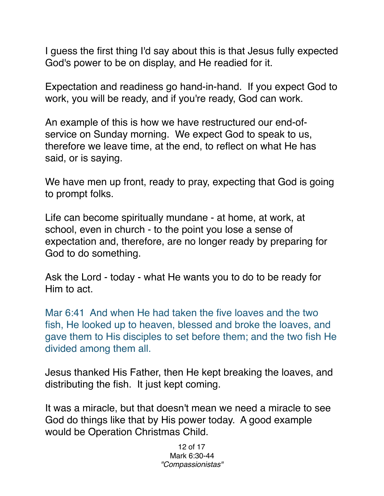I guess the first thing I'd say about this is that Jesus fully expected God's power to be on display, and He readied for it.

Expectation and readiness go hand-in-hand. If you expect God to work, you will be ready, and if you're ready, God can work.

An example of this is how we have restructured our end-ofservice on Sunday morning. We expect God to speak to us, therefore we leave time, at the end, to reflect on what He has said, or is saying.

We have men up front, ready to pray, expecting that God is going to prompt folks.

Life can become spiritually mundane - at home, at work, at school, even in church - to the point you lose a sense of expectation and, therefore, are no longer ready by preparing for God to do something.

Ask the Lord - today - what He wants you to do to be ready for Him to act.

Mar 6:41 And when He had taken the five loaves and the two fish, He looked up to heaven, blessed and broke the loaves, and gave them to His disciples to set before them; and the two fish He divided among them all.

Jesus thanked His Father, then He kept breaking the loaves, and distributing the fish. It just kept coming.

It was a miracle, but that doesn't mean we need a miracle to see God do things like that by His power today. A good example would be Operation Christmas Child.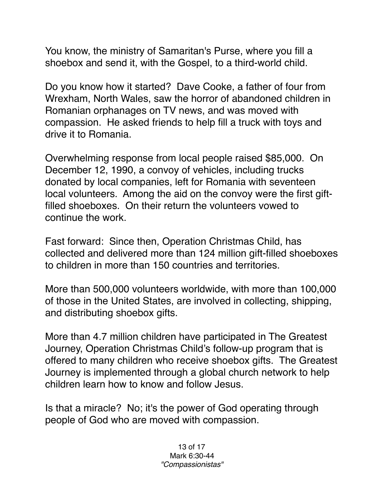You know, the ministry of Samaritan's Purse, where you fill a shoebox and send it, with the Gospel, to a third-world child.

Do you know how it started? Dave Cooke, a father of four from Wrexham, North Wales, saw the horror of abandoned children in Romanian orphanages on TV news, and was moved with compassion. He asked friends to help fill a truck with toys and drive it to Romania.

Overwhelming response from local people raised \$85,000. On December 12, 1990, a convoy of vehicles, including trucks donated by local companies, left for Romania with seventeen local volunteers. Among the aid on the convoy were the first giftfilled shoeboxes. On their return the volunteers vowed to continue the work.

Fast forward: Since then, Operation Christmas Child, has collected and delivered more than 124 million gift-filled shoeboxes to children in more than 150 countries and territories.

More than 500,000 volunteers worldwide, with more than 100,000 of those in the United States, are involved in collecting, shipping, and distributing shoebox gifts.

More than 4.7 million children have participated in The Greatest Journey, Operation Christmas Child's follow-up program that is offered to many children who receive shoebox gifts. The Greatest Journey is implemented through a global church network to help children learn how to know and follow Jesus.

Is that a miracle? No; it's the power of God operating through people of God who are moved with compassion.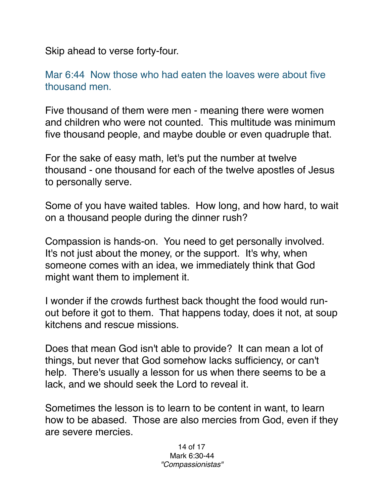Skip ahead to verse forty-four.

Mar 6:44 Now those who had eaten the loaves were about five thousand men.

Five thousand of them were men - meaning there were women and children who were not counted. This multitude was minimum five thousand people, and maybe double or even quadruple that.

For the sake of easy math, let's put the number at twelve thousand - one thousand for each of the twelve apostles of Jesus to personally serve.

Some of you have waited tables. How long, and how hard, to wait on a thousand people during the dinner rush?

Compassion is hands-on. You need to get personally involved. It's not just about the money, or the support. It's why, when someone comes with an idea, we immediately think that God might want them to implement it.

I wonder if the crowds furthest back thought the food would runout before it got to them. That happens today, does it not, at soup kitchens and rescue missions.

Does that mean God isn't able to provide? It can mean a lot of things, but never that God somehow lacks sufficiency, or can't help. There's usually a lesson for us when there seems to be a lack, and we should seek the Lord to reveal it.

Sometimes the lesson is to learn to be content in want, to learn how to be abased. Those are also mercies from God, even if they are severe mercies.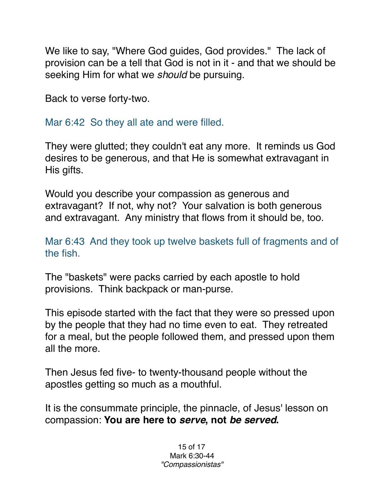We like to say, "Where God guides, God provides." The lack of provision can be a tell that God is not in it - and that we should be seeking Him for what we *should* be pursuing.

Back to verse forty-two.

Mar 6:42 So they all ate and were filled.

They were glutted; they couldn't eat any more. It reminds us God desires to be generous, and that He is somewhat extravagant in His gifts.

Would you describe your compassion as generous and extravagant? If not, why not? Your salvation is both generous and extravagant. Any ministry that flows from it should be, too.

Mar 6:43 And they took up twelve baskets full of fragments and of the fish.

The "baskets" were packs carried by each apostle to hold provisions. Think backpack or man-purse.

This episode started with the fact that they were so pressed upon by the people that they had no time even to eat. They retreated for a meal, but the people followed them, and pressed upon them all the more.

Then Jesus fed five- to twenty-thousand people without the apostles getting so much as a mouthful.

It is the consummate principle, the pinnacle, of Jesus' lesson on compassion: **You are here to** *serve***, not** *be served***.**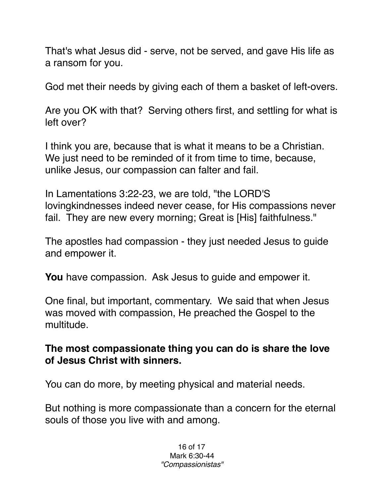That's what Jesus did - serve, not be served, and gave His life as a ransom for you.

God met their needs by giving each of them a basket of left-overs.

Are you OK with that? Serving others first, and settling for what is left over?

I think you are, because that is what it means to be a Christian. We just need to be reminded of it from time to time, because, unlike Jesus, our compassion can falter and fail.

In Lamentations 3:22-23, we are told, "the LORD'S lovingkindnesses indeed never cease, for His compassions never fail. They are new every morning; Great is [His] faithfulness."

The apostles had compassion - they just needed Jesus to guide and empower it.

**You** have compassion. Ask Jesus to guide and empower it.

One final, but important, commentary. We said that when Jesus was moved with compassion, He preached the Gospel to the multitude.

**The most compassionate thing you can do is share the love of Jesus Christ with sinners.**

You can do more, by meeting physical and material needs.

But nothing is more compassionate than a concern for the eternal souls of those you live with and among.